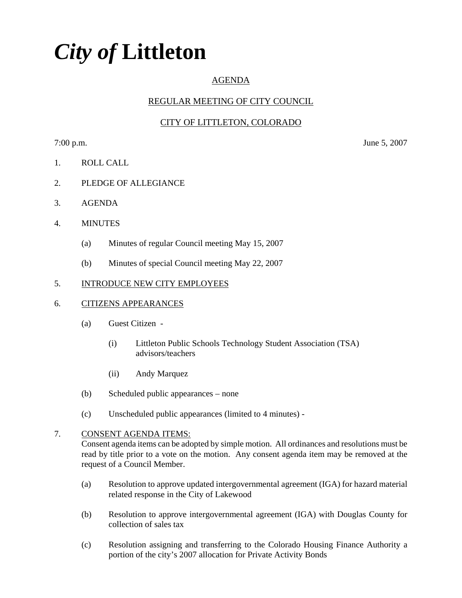# *City of* **Littleton**

# AGENDA

# REGULAR MEETING OF CITY COUNCIL

# CITY OF LITTLETON, COLORADO

7:00 p.m. June 5, 2007

- 1. ROLL CALL
- 2. PLEDGE OF ALLEGIANCE
- 3. AGENDA
- 4. MINUTES
	- (a) Minutes of regular Council meeting May 15, 2007
	- (b) Minutes of special Council meeting May 22, 2007

### 5. INTRODUCE NEW CITY EMPLOYEES

#### 6. CITIZENS APPEARANCES

- (a) Guest Citizen
	- (i) Littleton Public Schools Technology Student Association (TSA) advisors/teachers
	- (ii) Andy Marquez
- (b) Scheduled public appearances none
- (c) Unscheduled public appearances (limited to 4 minutes) -

### 7. CONSENT AGENDA ITEMS:

Consent agenda items can be adopted by simple motion. All ordinances and resolutions must be read by title prior to a vote on the motion. Any consent agenda item may be removed at the request of a Council Member.

- (a) Resolution to approve updated intergovernmental agreement (IGA) for hazard material related response in the City of Lakewood
- (b) Resolution to approve intergovernmental agreement (IGA) with Douglas County for collection of sales tax
- (c) Resolution assigning and transferring to the Colorado Housing Finance Authority a portion of the city's 2007 allocation for Private Activity Bonds